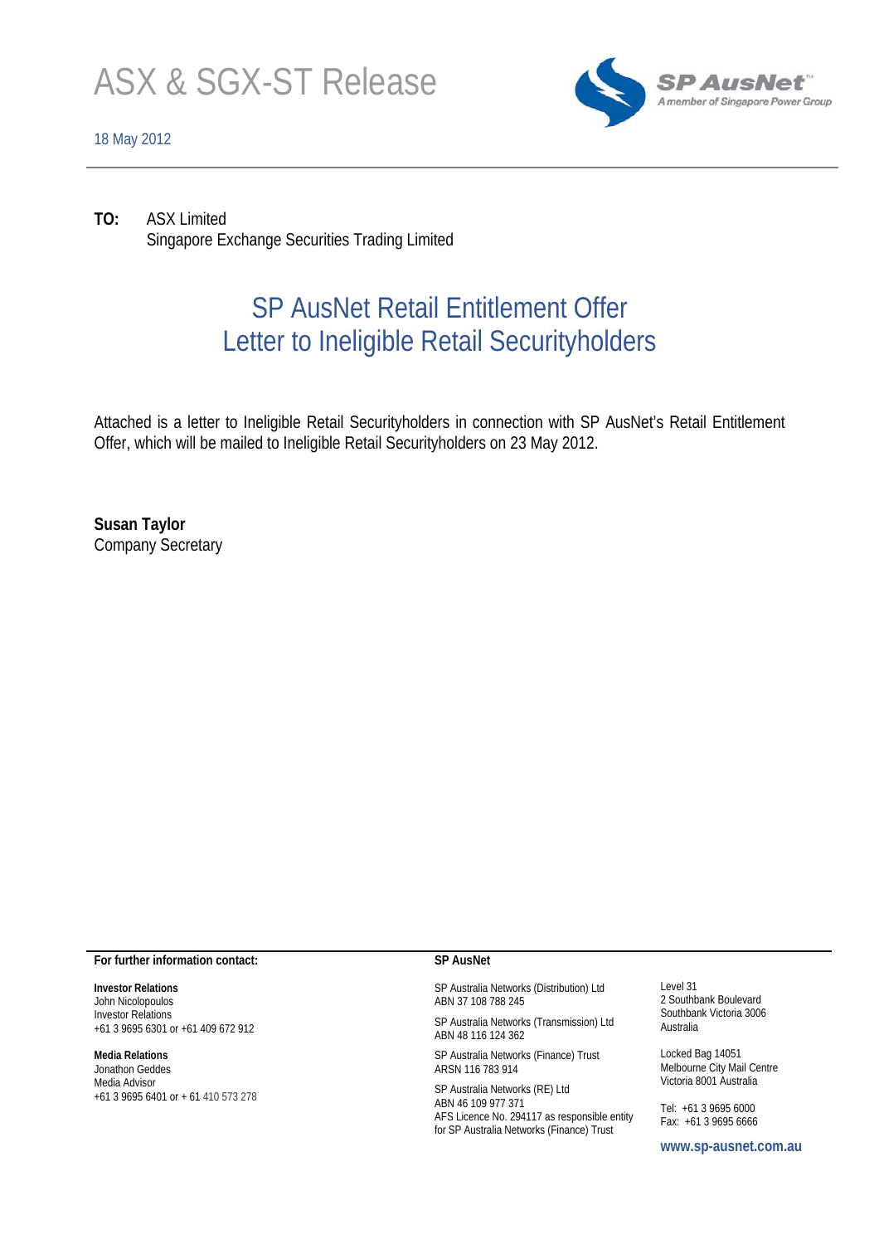

## 18 May 2012



**TO:** ASX Limited Singapore Exchange Securities Trading Limited

# SP AusNet Retail Entitlement Offer Letter to Ineligible Retail Securityholders

Attached is a letter to Ineligible Retail Securityholders in connection with SP AusNet's Retail Entitlement Offer, which will be mailed to Ineligible Retail Securityholders on 23 May 2012.

**Susan Taylor**  Company Secretary

#### **For further information contact:**

**Investor Relations**  John Nicolopoulos Investor Relations +61 3 9695 6301 or +61 409 672 912

#### **Media Relations**

Jonathon Geddes Media Advisor +61 3 9695 6401 or + 61 410 573 278

#### **SP AusNet**

SP Australia Networks (Distribution) Ltd ABN 37 108 788 245

SP Australia Networks (Transmission) Ltd ABN 48 116 124 362

SP Australia Networks (Finance) Trust ARSN 116 783 914

SP Australia Networks (RE) Ltd ABN 46 109 977 371 AFS Licence No. 294117 as responsible entity for SP Australia Networks (Finance) Trust

Level 31 2 Southbank Boulevard Southbank Victoria 3006 Australia

Locked Bag 14051 Melbourne City Mail Centre Victoria 8001 Australia

Tel: +61 3 9695 6000 Fax: +61 3 9695 6666

**www.sp-ausnet.com.au**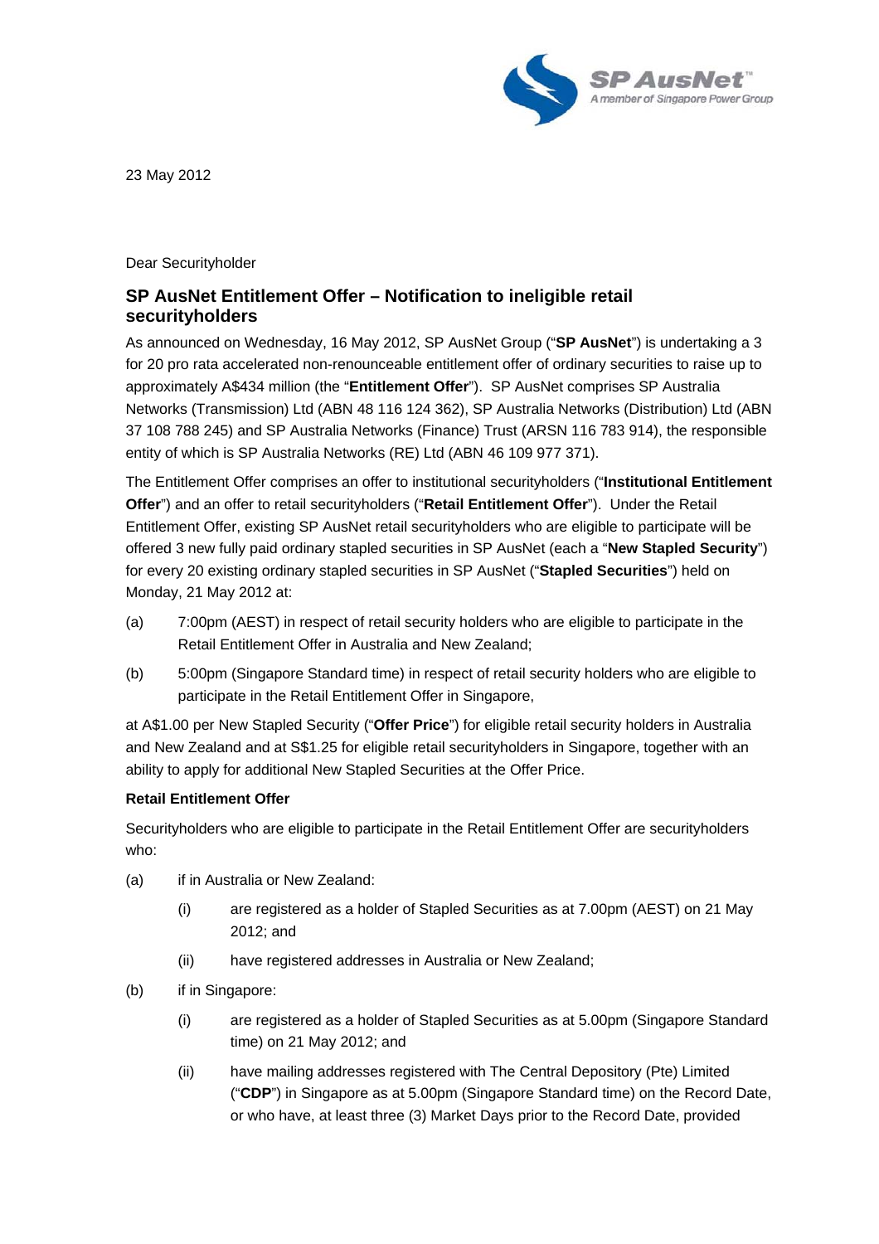

23 May 2012

Dear Securityholder

## **SP AusNet Entitlement Offer – Notification to ineligible retail securityholders**

As announced on Wednesday, 16 May 2012, SP AusNet Group ("**SP AusNet**") is undertaking a 3 for 20 pro rata accelerated non-renounceable entitlement offer of ordinary securities to raise up to approximately A\$434 million (the "**Entitlement Offer**"). SP AusNet comprises SP Australia Networks (Transmission) Ltd (ABN 48 116 124 362), SP Australia Networks (Distribution) Ltd (ABN 37 108 788 245) and SP Australia Networks (Finance) Trust (ARSN 116 783 914), the responsible entity of which is SP Australia Networks (RE) Ltd (ABN 46 109 977 371).

The Entitlement Offer comprises an offer to institutional securityholders ("**Institutional Entitlement Offer**") and an offer to retail securityholders ("**Retail Entitlement Offer**"). Under the Retail Entitlement Offer, existing SP AusNet retail securityholders who are eligible to participate will be offered 3 new fully paid ordinary stapled securities in SP AusNet (each a "**New Stapled Security**") for every 20 existing ordinary stapled securities in SP AusNet ("**Stapled Securities**") held on Monday, 21 May 2012 at:

- (a) 7:00pm (AEST) in respect of retail security holders who are eligible to participate in the Retail Entitlement Offer in Australia and New Zealand;
- (b) 5:00pm (Singapore Standard time) in respect of retail security holders who are eligible to participate in the Retail Entitlement Offer in Singapore,

at A\$1.00 per New Stapled Security ("**Offer Price**") for eligible retail security holders in Australia and New Zealand and at S\$1.25 for eligible retail securityholders in Singapore, together with an ability to apply for additional New Stapled Securities at the Offer Price.

## **Retail Entitlement Offer**

Securityholders who are eligible to participate in the Retail Entitlement Offer are securityholders who:

- (a) if in Australia or New Zealand:
	- (i) are registered as a holder of Stapled Securities as at 7.00pm (AEST) on 21 May 2012; and
	- (ii) have registered addresses in Australia or New Zealand;
- (b) if in Singapore:
	- (i) are registered as a holder of Stapled Securities as at 5.00pm (Singapore Standard time) on 21 May 2012; and
	- (ii) have mailing addresses registered with The Central Depository (Pte) Limited ("**CDP**") in Singapore as at 5.00pm (Singapore Standard time) on the Record Date, or who have, at least three (3) Market Days prior to the Record Date, provided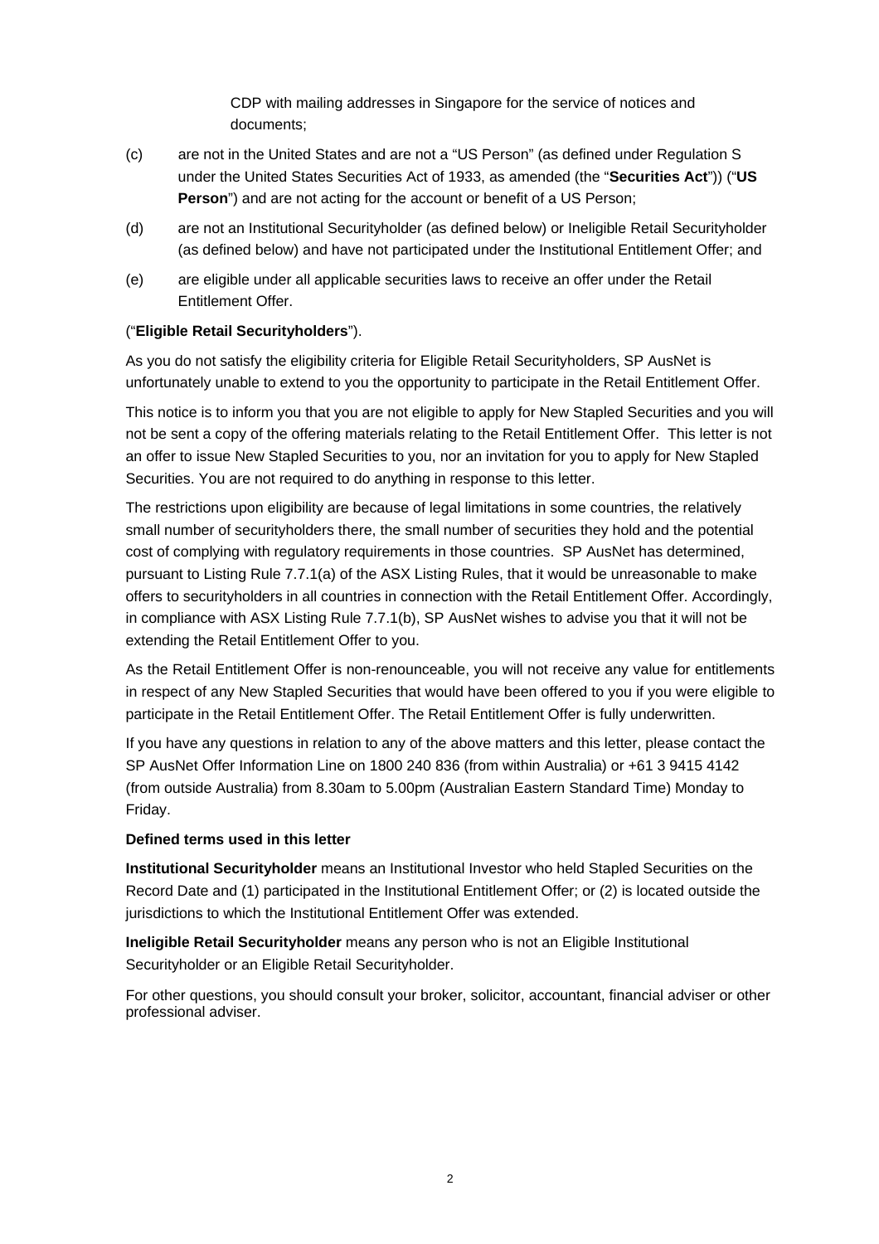CDP with mailing addresses in Singapore for the service of notices and documents;

- (c) are not in the United States and are not a "US Person" (as defined under Regulation S under the United States Securities Act of 1933, as amended (the "**Securities Act**")) ("**US Person**") and are not acting for the account or benefit of a US Person;
- (d) are not an Institutional Securityholder (as defined below) or Ineligible Retail Securityholder (as defined below) and have not participated under the Institutional Entitlement Offer; and
- (e) are eligible under all applicable securities laws to receive an offer under the Retail Entitlement Offer.

## ("**Eligible Retail Securityholders**").

As you do not satisfy the eligibility criteria for Eligible Retail Securityholders, SP AusNet is unfortunately unable to extend to you the opportunity to participate in the Retail Entitlement Offer.

This notice is to inform you that you are not eligible to apply for New Stapled Securities and you will not be sent a copy of the offering materials relating to the Retail Entitlement Offer. This letter is not an offer to issue New Stapled Securities to you, nor an invitation for you to apply for New Stapled Securities. You are not required to do anything in response to this letter.

The restrictions upon eligibility are because of legal limitations in some countries, the relatively small number of securityholders there, the small number of securities they hold and the potential cost of complying with regulatory requirements in those countries. SP AusNet has determined, pursuant to Listing Rule 7.7.1(a) of the ASX Listing Rules, that it would be unreasonable to make offers to securityholders in all countries in connection with the Retail Entitlement Offer. Accordingly, in compliance with ASX Listing Rule 7.7.1(b), SP AusNet wishes to advise you that it will not be extending the Retail Entitlement Offer to you.

As the Retail Entitlement Offer is non-renounceable, you will not receive any value for entitlements in respect of any New Stapled Securities that would have been offered to you if you were eligible to participate in the Retail Entitlement Offer. The Retail Entitlement Offer is fully underwritten.

If you have any questions in relation to any of the above matters and this letter, please contact the SP AusNet Offer Information Line on 1800 240 836 (from within Australia) or +61 3 9415 4142 (from outside Australia) from 8.30am to 5.00pm (Australian Eastern Standard Time) Monday to Friday.

## **Defined terms used in this letter**

**Institutional Securityholder** means an Institutional Investor who held Stapled Securities on the Record Date and (1) participated in the Institutional Entitlement Offer; or (2) is located outside the jurisdictions to which the Institutional Entitlement Offer was extended.

**Ineligible Retail Securityholder** means any person who is not an Eligible Institutional Securityholder or an Eligible Retail Securityholder.

For other questions, you should consult your broker, solicitor, accountant, financial adviser or other professional adviser.